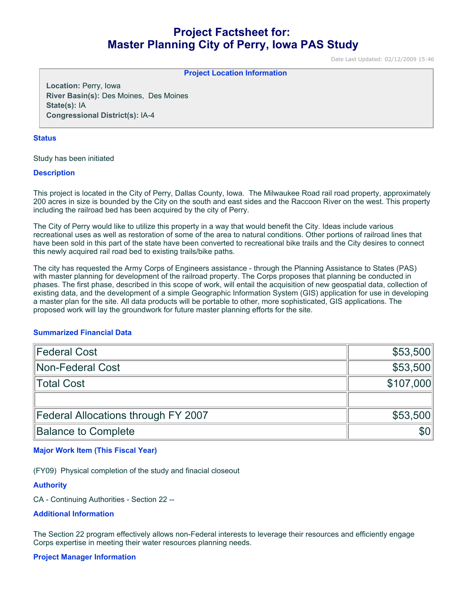# **Project Factsheet for: Master Planning City of Perry, Iowa PAS Study**

Date Last Updated: 02/12/2009 15:46

#### **Project Location Information**

**Location:** Perry, Iowa **River Basin(s):** Des Moines, Des Moines **State(s):** IA **Congressional District(s):** IA-4

#### **Status**

Study has been initiated

#### **Description**

This project is located in the City of Perry, Dallas County, Iowa. The Milwaukee Road rail road property, approximately 200 acres in size is bounded by the City on the south and east sides and the Raccoon River on the west. This property including the railroad bed has been acquired by the city of Perry.

The City of Perry would like to utilize this property in a way that would benefit the City. Ideas include various recreational uses as well as restoration of some of the area to natural conditions. Other portions of railroad lines that have been sold in this part of the state have been converted to recreational bike trails and the City desires to connect this newly acquired rail road bed to existing trails/bike paths.

The city has requested the Army Corps of Engineers assistance - through the Planning Assistance to States (PAS) with master planning for development of the railroad property. The Corps proposes that planning be conducted in phases. The first phase, described in this scope of work, will entail the acquisition of new geospatial data, collection of existing data, and the development of a simple Geographic Information System (GIS) application for use in developing a master plan for the site. All data products will be portable to other, more sophisticated, GIS applications. The proposed work will lay the groundwork for future master planning efforts for the site.

#### **Summarized Financial Data**

| Federal Cost                               | \$53,500   |
|--------------------------------------------|------------|
| Non-Federal Cost                           | \$53,500   |
| ∥Total Cost                                | \$107,000  |
|                                            |            |
| <b>Federal Allocations through FY 2007</b> | \$53,500   |
| <b>Balance to Complete</b>                 | <b>SOI</b> |

#### **Major Work Item (This Fiscal Year)**

(FY09) Physical completion of the study and finacial closeout

## **Authority**

CA - Continuing Authorities - Section 22 --

#### **Additional Information**

The Section 22 program effectively allows non-Federal interests to leverage their resources and efficiently engage Corps expertise in meeting their water resources planning needs.

### **Project Manager Information**